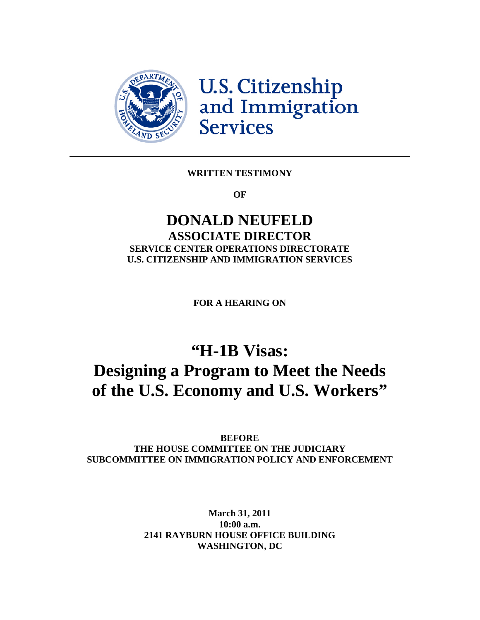

U.S. Citizenship<br>and Immigration **Services** 

#### **WRITTEN TESTIMONY**

**OF** 

# **DONALD NEUFELD ASSOCIATE DIRECTOR SERVICE CENTER OPERATIONS DIRECTORATE U.S. CITIZENSHIP AND IMMIGRATION SERVICES**

**FOR A HEARING ON** 

# **"H-1B Visas: Designing a Program to Meet the Needs of the U.S. Economy and U.S. Workers"**

**BEFORE THE HOUSE COMMITTEE ON THE JUDICIARY SUBCOMMITTEE ON IMMIGRATION POLICY AND ENFORCEMENT** 

> **March 31, 2011 10:00 a.m. 2141 RAYBURN HOUSE OFFICE BUILDING WASHINGTON, DC**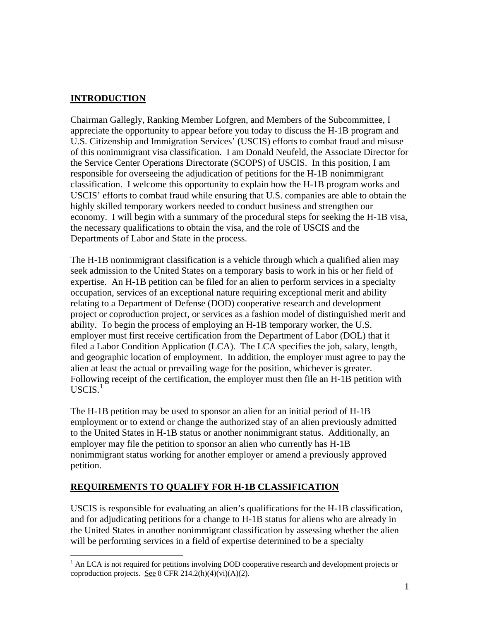# **INTRODUCTION**

Chairman Gallegly, Ranking Member Lofgren, and Members of the Subcommittee, I appreciate the opportunity to appear before you today to discuss the H-1B program and U.S. Citizenship and Immigration Services' (USCIS) efforts to combat fraud and misuse of this nonimmigrant visa classification. I am Donald Neufeld, the Associate Director for the Service Center Operations Directorate (SCOPS) of USCIS. In this position, I am responsible for overseeing the adjudication of petitions for the H-1B nonimmigrant classification. I welcome this opportunity to explain how the H-1B program works and USCIS' efforts to combat fraud while ensuring that U.S. companies are able to obtain the highly skilled temporary workers needed to conduct business and strengthen our economy. I will begin with a summary of the procedural steps for seeking the H-1B visa, the necessary qualifications to obtain the visa, and the role of USCIS and the Departments of Labor and State in the process.

The H-1B nonimmigrant classification is a vehicle through which a qualified alien may seek admission to the United States on a temporary basis to work in his or her field of expertise. An H-1B petition can be filed for an alien to perform services in a specialty occupation, services of an exceptional nature requiring exceptional merit and ability relating to a Department of Defense (DOD) cooperative research and development project or coproduction project, or services as a fashion model of distinguished merit and ability. To begin the process of employing an H-1B temporary worker, the U.S. employer must first receive certification from the Department of Labor (DOL) that it filed a Labor Condition Application (LCA). The LCA specifies the job, salary, length, and geographic location of employment. In addition, the employer must agree to pay the alien at least the actual or prevailing wage for the position, whichever is greater. Following receipt of the certification, the employer must then file an H-1B petition with  $USCIS.<sup>1</sup>$  $USCIS.<sup>1</sup>$  $USCIS.<sup>1</sup>$ 

The H-1B petition may be used to sponsor an alien for an initial period of H-1B employment or to extend or change the authorized stay of an alien previously admitted to the United States in H-1B status or another nonimmigrant status. Additionally, an employer may file the petition to sponsor an alien who currently has H-1B nonimmigrant status working for another employer or amend a previously approved petition.

# **REQUIREMENTS TO QUALIFY FOR H-1B CLASSIFICATION**

USCIS is responsible for evaluating an alien's qualifications for the H-1B classification, and for adjudicating petitions for a change to H-1B status for aliens who are already in the United States in another nonimmigrant classification by assessing whether the alien will be performing services in a field of expertise determined to be a specialty

<span id="page-1-0"></span><sup>&</sup>lt;sup>1</sup> An LCA is not required for petitions involving DOD cooperative research and development projects or coproduction projects. See 8 CFR  $214.2(h)(4)(vi)(A)(2)$ .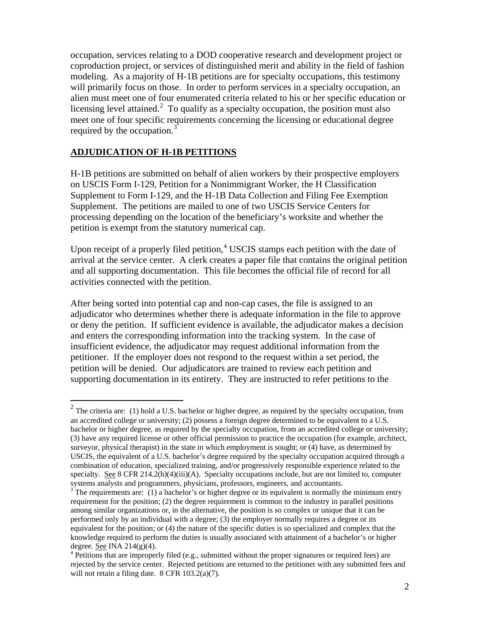occupation, services relating to a DOD cooperative research and development project or coproduction project, or services of distinguished merit and ability in the field of fashion modeling. As a majority of H-1B petitions are for specialty occupations, this testimony will primarily focus on those. In order to perform services in a specialty occupation, an alien must meet one of four enumerated criteria related to his or her specific education or licensing level attained.<sup>[2](#page-2-0)</sup> To qualify as a specialty occupation, the position must also meet one of four specific requirements concerning the licensing or educational degree required by the occupation.<sup>3</sup>

#### **ADJUDICATION OF H-1B PETITIONS**

H-1B petitions are submitted on behalf of alien workers by their prospective employers on USCIS Form I-129, Petition for a Nonimmigrant Worker, the H Classification Supplement to Form I-129, and the H-1B Data Collection and Filing Fee Exemption Supplement. The petitions are mailed to one of two USCIS Service Centers for processing depending on the location of the beneficiary's worksite and whether the petition is exempt from the statutory numerical cap.

Upon receipt of a properly filed petition, $4$  USCIS stamps each petition with the date of arrival at the service center. A clerk creates a paper file that contains the original petition and all supporting documentation. This file becomes the official file of record for all activities connected with the petition.

After being sorted into potential cap and non-cap cases, the file is assigned to an adjudicator who determines whether there is adequate information in the file to approve or deny the petition. If sufficient evidence is available, the adjudicator makes a decision and enters the corresponding information into the tracking system. In the case of insufficient evidence, the adjudicator may request additional information from the petitioner. If the employer does not respond to the request within a set period, the petition will be denied. Our adjudicators are trained to review each petition and supporting documentation in its entirety. They are instructed to refer petitions to the

<span id="page-2-0"></span><sup>&</sup>lt;sup>2</sup> The criteria are: (1) hold a U.S. bachelor or higher degree, as required by the specialty occupation, from an accredited college or university; (2) possess a foreign degree determined to be equivalent to a U.S. bachelor or higher degree, as required by the specialty occupation, from an accredited college or university; (3) have any required license or other official permission to practice the occupation (for example, architect, surveyor, physical therapist) in the state in which employment is sought; or (4) have, as determined by USCIS, the equivalent of a U.S. bachelor's degree required by the specialty occupation acquired through a combination of education, specialized training, and/or progressively responsible experience related to the specialty. See 8 CFR 214.2(h)(4)(iii)(A). Specialty occupations include, but are not limited to, computer systems analysts and programmers, physicians, professors, engineers, and accountants.

<span id="page-2-1"></span> $\frac{3}{3}$  The requirements are: (1) a bachelor's or higher degree or its equivalent is normally the minimum entry requirement for the position; (2) the degree requirement is common to the industry in parallel positions among similar organizations or, in the alternative, the position is so complex or unique that it can be performed only by an individual with a degree; (3) the employer normally requires a degree or its equivalent for the position; or (4) the nature of the specific duties is so specialized and complex that the knowledge required to perform the duties is usually associated with attainment of a bachelor's or higher degree. See INA  $214(g)(4)$ .

<span id="page-2-2"></span> $4$  Petitions that are improperly filed (e.g., submitted without the proper signatures or required fees) are rejected by the service center. Rejected petitions are returned to the petitioner with any submitted fees and will not retain a filing date. 8 CFR 103.2(a)(7).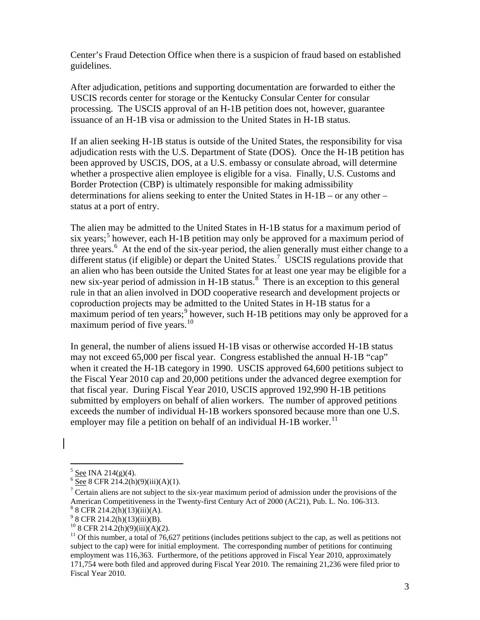Center's Fraud Detection Office when there is a suspicion of fraud based on established guidelines.

After adjudication, petitions and supporting documentation are forwarded to either the USCIS records center for storage or the Kentucky Consular Center for consular processing. The USCIS approval of an H-1B petition does not, however, guarantee issuance of an H-1B visa or admission to the United States in H-1B status.

If an alien seeking H-1B status is outside of the United States, the responsibility for visa adjudication rests with the U.S. Department of State (DOS). Once the H-1B petition has been approved by USCIS, DOS, at a U.S. embassy or consulate abroad, will determine whether a prospective alien employee is eligible for a visa. Finally, U.S. Customs and Border Protection (CBP) is ultimately responsible for making admissibility determinations for aliens seeking to enter the United States in H-1B – or any other – status at a port of entry.

The alien may be admitted to the United States in H-1B status for a maximum period of six years;<sup>[5](#page-3-0)</sup> however, each H-1B petition may only be approved for a maximum period of three years.<sup>[6](#page-3-1)</sup> At the end of the six-year period, the alien generally must either change to a different status (if eligible) or depart the United States.<sup>[7](#page-3-2)</sup> USCIS regulations provide that an alien who has been outside the United States for at least one year may be eligible for a new six-year period of admission in H-1B status.<sup>[8](#page-3-3)</sup> There is an exception to this general rule in that an alien involved in DOD cooperative research and development projects or coproduction projects may be admitted to the United States in H-1B status for a  $\frac{1}{2}$  maximum period of ten years;<sup>[9](#page-3-4)</sup> however, such H-1B petitions may only be approved for a maximum period of five years.<sup>10</sup>

In general, the number of aliens issued H-1B visas or otherwise accorded H-1B status may not exceed 65,000 per fiscal year. Congress established the annual H-1B "cap" when it created the H-1B category in 1990. USCIS approved 64,600 petitions subject to the Fiscal Year 2010 cap and 20,000 petitions under the advanced degree exemption for that fiscal year. During Fiscal Year 2010, USCIS approved 192,990 H-1B petitions submitted by employers on behalf of alien workers. The number of approved petitions exceeds the number of individual H-1B workers sponsored because more than one U.S. employer may file a petition on behalf of an individual H-1B worker.<sup>[11](#page-3-6)</sup>

<span id="page-3-0"></span> $\frac{5}{6}$  See INA 214(g)(4).

<span id="page-3-1"></span> $6 \overline{\text{See}}$  8 CFR 214.2(h)(9)(iii)(A)(1).

<span id="page-3-2"></span><sup>&</sup>lt;sup>7</sup> Certain aliens are not subject to the six-year maximum period of admission under the provisions of the American Competitiveness in the Twenty-first Century Act of 2000 (AC21), Pub. L. No. 106-313. 8  $8$  CFR 214.2(h)(13)(iii)(A).

<span id="page-3-4"></span><span id="page-3-3"></span> $98$  CFR 214.2(h)(13)(iii)(B).

<span id="page-3-5"></span><sup>10 8</sup> CFR 214.2(h)(9)(iii)(A)(2).

<span id="page-3-6"></span> $11$  Of this number, a total of 76,627 petitions (includes petitions subject to the cap, as well as petitions not subject to the cap) were for initial employment. The corresponding number of petitions for continuing employment was 116,363. Furthermore, of the petitions approved in Fiscal Year 2010, approximately 171,754 were both filed and approved during Fiscal Year 2010. The remaining 21,236 were filed prior to Fiscal Year 2010.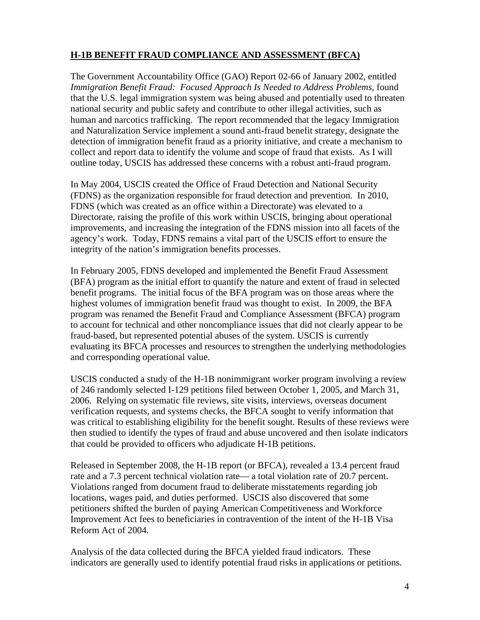# **H-1B BENEFIT FRAUD COMPLIANCE AND ASSESSMENT (BFCA)**

The Government Accountability Office (GAO) Report 02-66 of January 2002, entitled *Immigration Benefit Fraud: Focused Approach Is Needed to Address Problems*, found that the U.S. legal immigration system was being abused and potentially used to threaten national security and public safety and contribute to other illegal activities, such as human and narcotics trafficking. The report recommended that the legacy Immigration and Naturalization Service implement a sound anti-fraud benefit strategy, designate the detection of immigration benefit fraud as a priority initiative, and create a mechanism to collect and report data to identify the volume and scope of fraud that exists. As I will outline today, USCIS has addressed these concerns with a robust anti-fraud program.

In May 2004, USCIS created the Office of Fraud Detection and National Security (FDNS) as the organization responsible for fraud detection and prevention. In 2010, FDNS (which was created as an office within a Directorate) was elevated to a Directorate, raising the profile of this work within USCIS, bringing about operational improvements, and increasing the integration of the FDNS mission into all facets of the agency's work. Today, FDNS remains a vital part of the USCIS effort to ensure the integrity of the nation's immigration benefits processes.

In February 2005, FDNS developed and implemented the Benefit Fraud Assessment (BFA) program as the initial effort to quantify the nature and extent of fraud in selected benefit programs. The initial focus of the BFA program was on those areas where the highest volumes of immigration benefit fraud was thought to exist. In 2009, the BFA program was renamed the Benefit Fraud and Compliance Assessment (BFCA) program to account for technical and other noncompliance issues that did not clearly appear to be fraud-based, but represented potential abuses of the system. USCIS is currently evaluating its BFCA processes and resources to strengthen the underlying methodologies and corresponding operational value.

USCIS conducted a study of the H-1B nonimmigrant worker program involving a review of 246 randomly selected I-129 petitions filed between October 1, 2005, and March 31, 2006. Relying on systematic file reviews, site visits, interviews, overseas document verification requests, and systems checks, the BFCA sought to verify information that was critical to establishing eligibility for the benefit sought. Results of these reviews were then studied to identify the types of fraud and abuse uncovered and then isolate indicators that could be provided to officers who adjudicate H-1B petitions.

Released in September 2008, the H-1B report (or BFCA), revealed a 13.4 percent fraud rate and a 7.3 percent technical violation rate— a total violation rate of 20.7 percent. Violations ranged from document fraud to deliberate misstatements regarding job locations, wages paid, and duties performed. USCIS also discovered that some petitioners shifted the burden of paying American Competitiveness and Workforce Improvement Act fees to beneficiaries in contravention of the intent of the H-1B Visa Reform Act of 2004.

Analysis of the data collected during the BFCA yielded fraud indicators. These indicators are generally used to identify potential fraud risks in applications or petitions.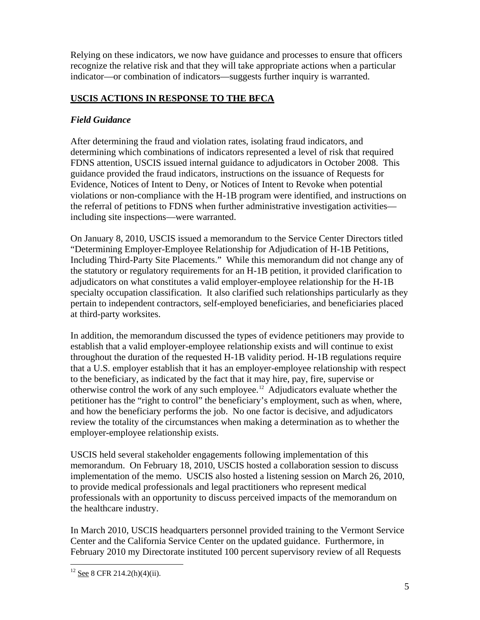Relying on these indicators, we now have guidance and processes to ensure that officers recognize the relative risk and that they will take appropriate actions when a particular indicator—or combination of indicators—suggests further inquiry is warranted.

# **USCIS ACTIONS IN RESPONSE TO THE BFCA**

### *Field Guidance*

After determining the fraud and violation rates, isolating fraud indicators, and determining which combinations of indicators represented a level of risk that required FDNS attention, USCIS issued internal guidance to adjudicators in October 2008. This guidance provided the fraud indicators, instructions on the issuance of Requests for Evidence, Notices of Intent to Deny, or Notices of Intent to Revoke when potential violations or non-compliance with the H-1B program were identified, and instructions on the referral of petitions to FDNS when further administrative investigation activities including site inspections—were warranted.

On January 8, 2010, USCIS issued a memorandum to the Service Center Directors titled "Determining Employer-Employee Relationship for Adjudication of H-1B Petitions, Including Third-Party Site Placements." While this memorandum did not change any of the statutory or regulatory requirements for an H-1B petition, it provided clarification to adjudicators on what constitutes a valid employer-employee relationship for the H-1B specialty occupation classification. It also clarified such relationships particularly as they pertain to independent contractors, self-employed beneficiaries, and beneficiaries placed at third-party worksites.

In addition, the memorandum discussed the types of evidence petitioners may provide to establish that a valid employer-employee relationship exists and will continue to exist throughout the duration of the requested H-1B validity period. H-1B regulations require that a U.S. employer establish that it has an employer-employee relationship with respect to the beneficiary, as indicated by the fact that it may hire, pay, fire, supervise or otherwise control the work of any such employee.<sup>[12](#page-5-0)</sup> Adjudicators evaluate whether the petitioner has the "right to control" the beneficiary's employment, such as when, where, and how the beneficiary performs the job. No one factor is decisive, and adjudicators review the totality of the circumstances when making a determination as to whether the employer-employee relationship exists.

USCIS held several stakeholder engagements following implementation of this memorandum. On February 18, 2010, USCIS hosted a collaboration session to discuss implementation of the memo. USCIS also hosted a listening session on March 26, 2010, to provide medical professionals and legal practitioners who represent medical professionals with an opportunity to discuss perceived impacts of the memorandum on the healthcare industry.

In March 2010, USCIS headquarters personnel provided training to the Vermont Service Center and the California Service Center on the updated guidance. Furthermore, in February 2010 my Directorate instituted 100 percent supervisory review of all Requests

<span id="page-5-0"></span><sup>&</sup>lt;sup>12</sup> See 8 CFR 214.2(h)(4)(ii).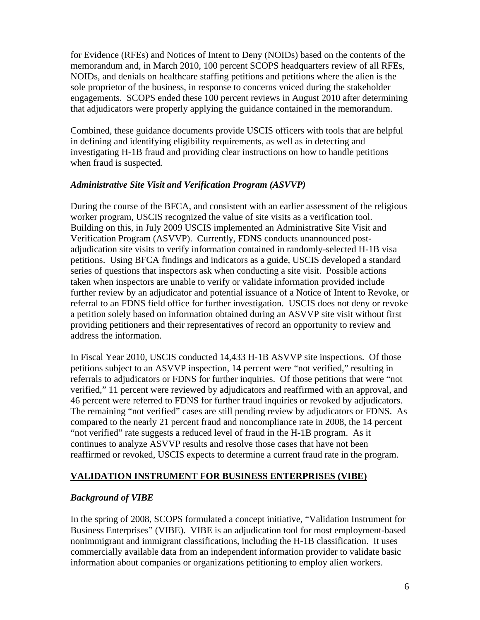for Evidence (RFEs) and Notices of Intent to Deny (NOIDs) based on the contents of the memorandum and, in March 2010, 100 percent SCOPS headquarters review of all RFEs, NOIDs, and denials on healthcare staffing petitions and petitions where the alien is the sole proprietor of the business, in response to concerns voiced during the stakeholder engagements. SCOPS ended these 100 percent reviews in August 2010 after determining that adjudicators were properly applying the guidance contained in the memorandum.

Combined, these guidance documents provide USCIS officers with tools that are helpful in defining and identifying eligibility requirements, as well as in detecting and investigating H-1B fraud and providing clear instructions on how to handle petitions when fraud is suspected.

#### *Administrative Site Visit and Verification Program (ASVVP)*

During the course of the BFCA, and consistent with an earlier assessment of the religious worker program, USCIS recognized the value of site visits as a verification tool. Building on this, in July 2009 USCIS implemented an Administrative Site Visit and Verification Program (ASVVP). Currently, FDNS conducts unannounced postadjudication site visits to verify information contained in randomly-selected H-1B visa petitions. Using BFCA findings and indicators as a guide, USCIS developed a standard series of questions that inspectors ask when conducting a site visit. Possible actions taken when inspectors are unable to verify or validate information provided include further review by an adjudicator and potential issuance of a Notice of Intent to Revoke, or referral to an FDNS field office for further investigation. USCIS does not deny or revoke a petition solely based on information obtained during an ASVVP site visit without first providing petitioners and their representatives of record an opportunity to review and address the information.

In Fiscal Year 2010, USCIS conducted 14,433 H-1B ASVVP site inspections. Of those petitions subject to an ASVVP inspection, 14 percent were "not verified," resulting in referrals to adjudicators or FDNS for further inquiries. Of those petitions that were "not verified," 11 percent were reviewed by adjudicators and reaffirmed with an approval, and 46 percent were referred to FDNS for further fraud inquiries or revoked by adjudicators. The remaining "not verified" cases are still pending review by adjudicators or FDNS. As compared to the nearly 21 percent fraud and noncompliance rate in 2008, the 14 percent "not verified" rate suggests a reduced level of fraud in the H-1B program. As it continues to analyze ASVVP results and resolve those cases that have not been reaffirmed or revoked, USCIS expects to determine a current fraud rate in the program.

#### **VALIDATION INSTRUMENT FOR BUSINESS ENTERPRISES (VIBE)**

#### *Background of VIBE*

In the spring of 2008, SCOPS formulated a concept initiative, "Validation Instrument for Business Enterprises" (VIBE). VIBE is an adjudication tool for most employment-based nonimmigrant and immigrant classifications, including the H-1B classification. It uses commercially available data from an independent information provider to validate basic information about companies or organizations petitioning to employ alien workers.